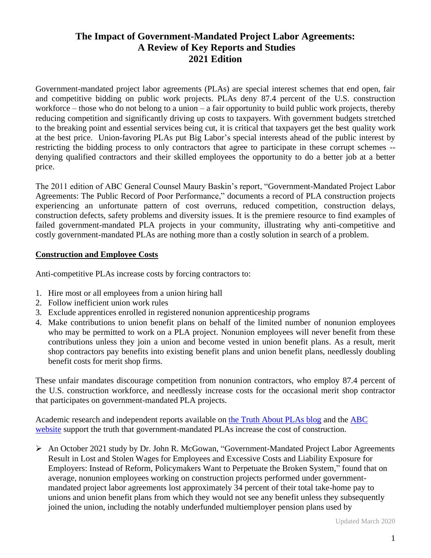# **The Impact of Government-Mandated Project Labor Agreements: A Review of Key Reports and Studies 2021 Edition**

Government-mandated project labor agreements (PLAs) are special interest schemes that end open, fair and competitive bidding on public work projects. PLAs deny 87.4 percent of the U.S. construction workforce – those who do not belong to a union – a fair opportunity to build public work projects, thereby reducing competition and significantly driving up costs to taxpayers. With government budgets stretched to the breaking point and essential services being cut, it is critical that taxpayers get the best quality work at the best price. Union-favoring PLAs put Big Labor's special interests ahead of the public interest by restricting the bidding process to only contractors that agree to participate in these corrupt schemes - denying qualified contractors and their skilled employees the opportunity to do a better job at a better price.

The 2011 edition of ABC General Counsel Maury Baskin's report, "Government-Mandated Project Labor Agreements: The Public Record of Poor Performance," documents a record of PLA construction projects experiencing an unfortunate pattern of cost overruns, reduced competition, construction delays, construction defects, safety problems and diversity issues. It is the premiere resource to find examples of failed government-mandated PLA projects in your community, illustrating why anti-competitive and costly government-mandated PLAs are nothing more than a costly solution in search of a problem.

#### **Construction and Employee Costs**

Anti-competitive PLAs increase costs by forcing contractors to:

- 1. Hire most or all employees from a union hiring hall
- 2. Follow inefficient union work rules
- 3. Exclude apprentices enrolled in registered nonunion apprenticeship programs
- 4. Make contributions to union benefit plans on behalf of the limited number of nonunion employees who may be permitted to work on a PLA project. Nonunion employees will never benefit from these contributions unless they join a union and become vested in union benefit plans. As a result, merit shop contractors pay benefits into existing benefit plans and union benefit plans, needlessly doubling benefit costs for merit shop firms.

These unfair mandates discourage competition from nonunion contractors, who employ 87.4 percent of the U.S. construction workforce, and needlessly increase costs for the occasional merit shop contractor that participates on government-mandated PLA projects.

Academic research and independent reports available on [the Truth About PLAs blog](http://thetruthaboutplas.com/tag/pla-study/) and the [ABC](http://www.abc.org/en-us/politicspolicy/issues/projectlaboragreements.aspx#LiveTabsContent1853116)  [website](http://www.abc.org/en-us/politicspolicy/issues/projectlaboragreements.aspx#LiveTabsContent1853116) support the truth that government-mandated PLAs increase the cost of construction.

➢ An October 2021 study by Dr. John R. McGowan, "Government-Mandated Project Labor Agreements Result in Lost and Stolen Wages for Employees and Excessive Costs and Liability Exposure for Employers: Instead of Reform, Policymakers Want to Perpetuate the Broken System," found that on average, nonunion employees working on construction projects performed under governmentmandated project labor agreements lost approximately 34 percent of their total take-home pay to unions and union benefit plans from which they would not see any benefit unless they subsequently joined the union, including the notably underfunded multiemployer pension plans used by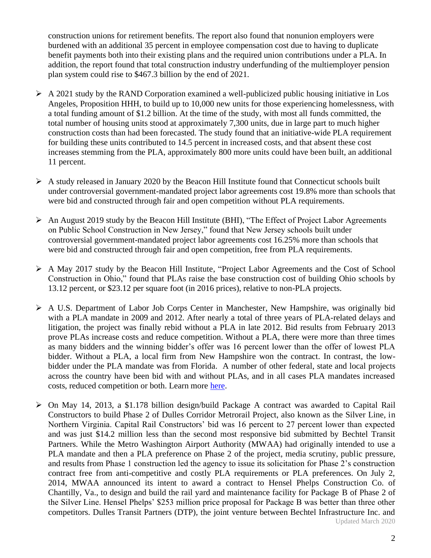construction unions for retirement benefits. The report also found that nonunion employers were burdened with an additional 35 percent in employee compensation cost due to having to duplicate benefit payments both into their existing plans and the required union contributions under a PLA. In addition, the report found that total construction industry underfunding of the multiemployer pension plan system could rise to \$467.3 billion by the end of 2021.

- $\triangleright$  A 2021 study by the RAND Corporation examined a well-publicized public housing initiative in Los Angeles, Proposition HHH, to build up to 10,000 new units for those experiencing homelessness, with a total funding amount of \$1.2 billion. At the time of the study, with most all funds committed, the total number of housing units stood at approximately 7,300 units, due in large part to much higher construction costs than had been forecasted. The study found that an initiative-wide PLA requirement for building these units contributed to 14.5 percent in increased costs, and that absent these cost increases stemming from the PLA, approximately 800 more units could have been built, an additional 11 percent.
- $\triangleright$  A study released in January 2020 by the Beacon Hill Institute found that Connecticut schools built under controversial government-mandated project labor agreements cost 19.8% more than schools that were bid and constructed through fair and open competition without PLA requirements.
- ➢ An August 2019 study by the Beacon Hill Institute (BHI), "The Effect of Project Labor Agreements on Public School Construction in New Jersey," found that New Jersey schools built under controversial government-mandated project labor agreements cost 16.25% more than schools that were bid and constructed through fair and open competition, free from PLA requirements.
- ➢ A May 2017 study by the Beacon Hill Institute, "Project Labor Agreements and the Cost of School Construction in Ohio," found that PLAs raise the base construction cost of building Ohio schools by 13.12 percent, or \$23.12 per square foot (in 2016 prices), relative to non-PLA projects.
- ➢ A U.S. Department of Labor Job Corps Center in Manchester, New Hampshire, was originally bid with a PLA mandate in 2009 and 2012. After nearly a total of three years of PLA-related delays and litigation, the project was finally rebid without a PLA in late 2012. Bid results from February 2013 prove PLAs increase costs and reduce competition. Without a PLA, there were more than three times as many bidders and the winning bidder's offer was 16 percent lower than the offer of lowest PLA bidder. Without a PLA, a local firm from New Hampshire won the contract. In contrast, the lowbidder under the PLA mandate was from Florida. A number of other federal, state and local projects across the country have been bid with and without PLAs, and in all cases PLA mandates increased costs, reduced competition or both. Learn more [here.](http://thetruthaboutplas.com/2013/04/18/great-scott-projects-bid-with-and-without-pla-mandates-show-plas-increase-costs-and-reduce-competition/)
- Updated March 2020 ➢ On May 14, 2013, a \$1.178 billion design/build Package A contract was awarded to Capital Rail Constructors to build Phase 2 of Dulles Corridor Metrorail Project, also known as the Silver Line, in Northern Virginia. Capital Rail Constructors' bid was 16 percent to 27 percent lower than expected and was just \$14.2 million less than the second most responsive bid submitted by Bechtel Transit Partners. While the Metro Washington Airport Authority (MWAA) had originally intended to use a PLA mandate and then a PLA preference on Phase 2 of the project, media scrutiny, public pressure, and results from Phase 1 construction led the agency to issue its solicitation for Phase 2's construction contract free from anti-competitive and costly PLA requirements or PLA preferences. On July 2, 2014, MWAA announced its intent to award a contract to Hensel Phelps Construction Co. of Chantilly, Va., to design and build the rail yard and maintenance facility for Package B of Phase 2 of the Silver Line. Hensel Phelps' \$253 million price proposal for Package B was better than three other competitors. Dulles Transit Partners (DTP), the joint venture between Bechtel Infrastructure Inc. and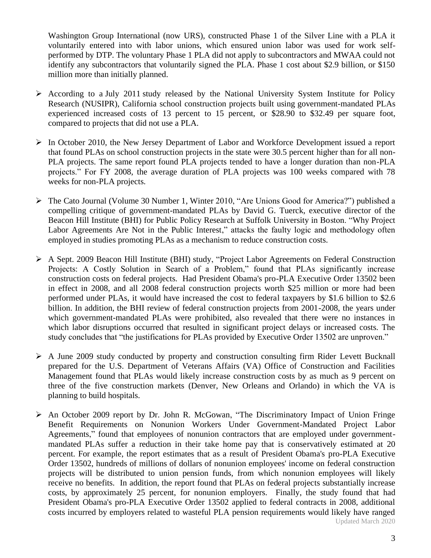Washington Group International (now URS), constructed Phase 1 of the Silver Line with a PLA it voluntarily entered into with labor unions, which ensured union labor was used for work selfperformed by DTP. The voluntary Phase 1 PLA did not apply to subcontractors and MWAA could not identify any subcontractors that voluntarily signed the PLA. Phase 1 cost about \$2.9 billion, or \$150 million more than initially planned.

- ➢ According to a July 2011 study released by the National University System Institute for Policy Research (NUSIPR), California school construction projects built using government-mandated PLAs experienced increased costs of 13 percent to 15 percent, or \$28.90 to \$32.49 per square foot, compared to projects that did not use a PLA.
- $\triangleright$  In October 2010, the New Jersey Department of Labor and Workforce Development issued a report that found PLAs on school construction projects in the state were 30.5 percent higher than for all non-PLA projects. The same report found PLA projects tended to have a longer duration than non-PLA projects." For FY 2008, the average duration of PLA projects was 100 weeks compared with 78 weeks for non-PLA projects.
- ➢ The Cato Journal (Volume 30 Number 1, Winter 2010, "Are Unions Good for America?") published a compelling critique of government-mandated PLAs by David G. Tuerck, executive director of the Beacon Hill Institute (BHI) for Public Policy Research at Suffolk University in Boston. "Why Project Labor Agreements Are Not in the Public Interest," attacks the faulty logic and methodology often employed in studies promoting PLAs as a mechanism to reduce construction costs.
- ➢ A Sept. 2009 Beacon Hill Institute (BHI) study, "Project Labor Agreements on Federal Construction Projects: A Costly Solution in Search of a Problem," found that PLAs significantly increase construction costs on federal projects. Had President Obama's pro-PLA Executive Order 13502 been in effect in 2008, and all 2008 federal construction projects worth \$25 million or more had been performed under PLAs, it would have increased the cost to federal taxpayers by \$1.6 billion to \$2.6 billion. In addition, the BHI review of federal construction projects from 2001-2008, the years under which government-mandated PLAs were prohibited, also revealed that there were no instances in which labor disruptions occurred that resulted in significant project delays or increased costs. The study concludes that "the justifications for PLAs provided by Executive Order 13502 are unproven."
- ➢ A June 2009 study conducted by property and construction consulting firm Rider Levett Bucknall prepared for the U.S. Department of Veterans Affairs (VA) Office of Construction and Facilities Management found that PLAs would likely increase construction costs by as much as 9 percent on three of the five construction markets (Denver, New Orleans and Orlando) in which the VA is planning to build hospitals.
- Updated March 2020 ➢ An October 2009 report by Dr. John R. McGowan, "The Discriminatory Impact of Union Fringe Benefit Requirements on Nonunion Workers Under Government-Mandated Project Labor Agreements," found that employees of nonunion contractors that are employed under governmentmandated PLAs suffer a reduction in their take home pay that is conservatively estimated at 20 percent. For example, the report estimates that as a result of President Obama's pro-PLA Executive Order 13502, hundreds of millions of dollars of nonunion employees' income on federal construction projects will be distributed to union pension funds, from which nonunion employees will likely receive no benefits. In addition, the report found that PLAs on federal projects substantially increase costs, by approximately 25 percent, for nonunion employers. Finally, the study found that had President Obama's pro-PLA Executive Order 13502 applied to federal contracts in 2008, additional costs incurred by employers related to wasteful PLA pension requirements would likely have ranged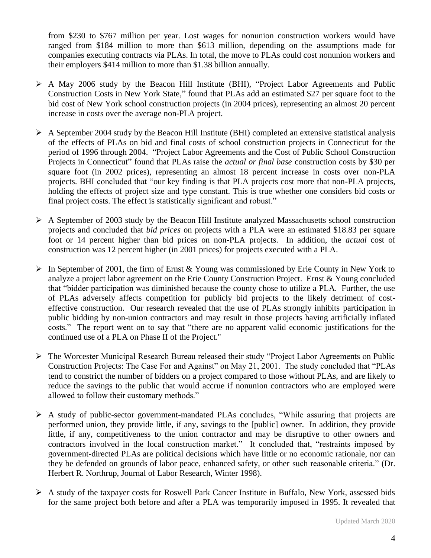from \$230 to \$767 million per year. Lost wages for nonunion construction workers would have ranged from \$184 million to more than \$613 million, depending on the assumptions made for companies executing contracts via PLAs. In total, the move to PLAs could cost nonunion workers and their employers \$414 million to more than \$1.38 billion annually.

- ➢ A May 2006 study by the Beacon Hill Institute (BHI), "Project Labor Agreements and Public Construction Costs in New York State," found that PLAs add an estimated \$27 per square foot to the bid cost of New York school construction projects (in 2004 prices), representing an almost 20 percent increase in costs over the average non-PLA project.
- ➢ A September 2004 study by the Beacon Hill Institute (BHI) completed an extensive statistical analysis of the effects of PLAs on bid and final costs of school construction projects in Connecticut for the period of 1996 through 2004. "Project Labor Agreements and the Cost of Public School Construction Projects in Connecticut" found that PLAs raise the *actual or final base* construction costs by \$30 per square foot (in 2002 prices), representing an almost 18 percent increase in costs over non-PLA projects. BHI concluded that "our key finding is that PLA projects cost more that non-PLA projects, holding the effects of project size and type constant. This is true whether one considers bid costs or final project costs. The effect is statistically significant and robust."
- ➢ A September of 2003 study by the Beacon Hill Institute analyzed Massachusetts school construction projects and concluded that *bid prices* on projects with a PLA were an estimated \$18.83 per square foot or 14 percent higher than bid prices on non-PLA projects. In addition, the *actual* cost of construction was 12 percent higher (in 2001 prices) for projects executed with a PLA.
- $\triangleright$  In September of 2001, the firm of Ernst & Young was commissioned by Erie County in New York to analyze a project labor agreement on the Erie County Construction Project. Ernst & Young concluded that "bidder participation was diminished because the county chose to utilize a PLA. Further, the use of PLAs adversely affects competition for publicly bid projects to the likely detriment of costeffective construction. Our research revealed that the use of PLAs strongly inhibits participation in public bidding by non-union contractors and may result in those projects having artificially inflated costs." The report went on to say that "there are no apparent valid economic justifications for the continued use of a PLA on Phase II of the Project."
- ➢ The Worcester Municipal Research Bureau released their study "Project Labor Agreements on Public Construction Projects: The Case For and Against" on May 21, 2001. The study concluded that "PLAs tend to constrict the number of bidders on a project compared to those without PLAs, and are likely to reduce the savings to the public that would accrue if nonunion contractors who are employed were allowed to follow their customary methods."
- ➢ A study of public-sector government-mandated PLAs concludes, "While assuring that projects are performed union, they provide little, if any, savings to the [public] owner. In addition, they provide little, if any, competitiveness to the union contractor and may be disruptive to other owners and contractors involved in the local construction market." It concluded that, "restraints imposed by government-directed PLAs are political decisions which have little or no economic rationale, nor can they be defended on grounds of labor peace, enhanced safety, or other such reasonable criteria." (Dr. Herbert R. Northrup, Journal of Labor Research, Winter 1998).
- ➢ A study of the taxpayer costs for Roswell Park Cancer Institute in Buffalo, New York, assessed bids for the same project both before and after a PLA was temporarily imposed in 1995. It revealed that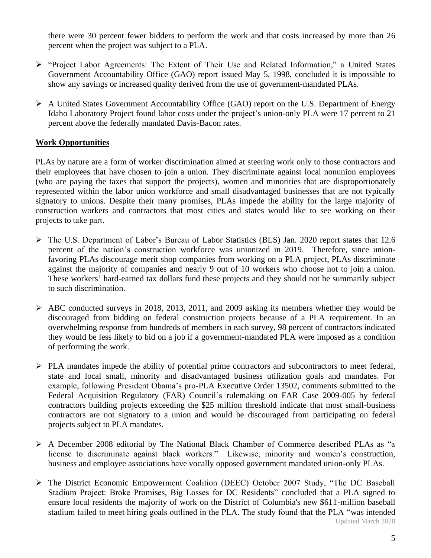there were 30 percent fewer bidders to perform the work and that costs increased by more than 26 percent when the project was subject to a PLA.

- ➢ "Project Labor Agreements: The Extent of Their Use and Related Information," a United States Government Accountability Office (GAO) report issued May 5, 1998, concluded it is impossible to show any savings or increased quality derived from the use of government-mandated PLAs.
- ➢ A United States Government Accountability Office (GAO) report on the U.S. Department of Energy Idaho Laboratory Project found labor costs under the project's union-only PLA were 17 percent to 21 percent above the federally mandated Davis-Bacon rates.

#### **Work Opportunities**

PLAs by nature are a form of worker discrimination aimed at steering work only to those contractors and their employees that have chosen to join a union. They discriminate against local nonunion employees (who are paying the taxes that support the projects), women and minorities that are disproportionately represented within the labor union workforce and small disadvantaged businesses that are not typically signatory to unions. Despite their many promises, PLAs impede the ability for the large majority of construction workers and contractors that most cities and states would like to see working on their projects to take part.

- ➢ The U.S. Department of Labor's Bureau of Labor Statistics (BLS) Jan. 2020 report states that 12.6 percent of the nation's construction workforce was unionized in 2019. Therefore, since unionfavoring PLAs discourage merit shop companies from working on a PLA project, PLAs discriminate against the majority of companies and nearly 9 out of 10 workers who choose not to join a union. These workers' hard-earned tax dollars fund these projects and they should not be summarily subject to such discrimination.
- ➢ ABC conducted surveys in 2018, 2013, 2011, and 2009 asking its members whether they would be discouraged from bidding on federal construction projects because of a PLA requirement. In an overwhelming response from hundreds of members in each survey, 98 percent of contractors indicated they would be less likely to bid on a job if a government-mandated PLA were imposed as a condition of performing the work.
- ➢ PLA mandates impede the ability of potential prime contractors and subcontractors to meet federal, state and local small, minority and disadvantaged business utilization goals and mandates. For example, following President Obama's pro-PLA Executive Order 13502, comments submitted to the Federal Acquisition Regulatory (FAR) Council's rulemaking on FAR Case 2009-005 by federal contractors building projects exceeding the \$25 million threshold indicate that most small-business contractors are not signatory to a union and would be discouraged from participating on federal projects subject to PLA mandates.
- ➢ A December 2008 editorial by The National Black Chamber of Commerce described PLAs as "a license to discriminate against black workers." Likewise, minority and women's construction, business and employee associations have vocally opposed government mandated union-only PLAs.
- Updated March 2020 ➢ The District Economic Empowerment Coalition (DEEC) October 2007 Study, "The DC Baseball Stadium Project: Broke Promises, Big Losses for DC Residents" concluded that a PLA signed to ensure local residents the majority of work on the District of Columbia's new \$611-million baseball stadium failed to meet hiring goals outlined in the PLA. The study found that the PLA "was intended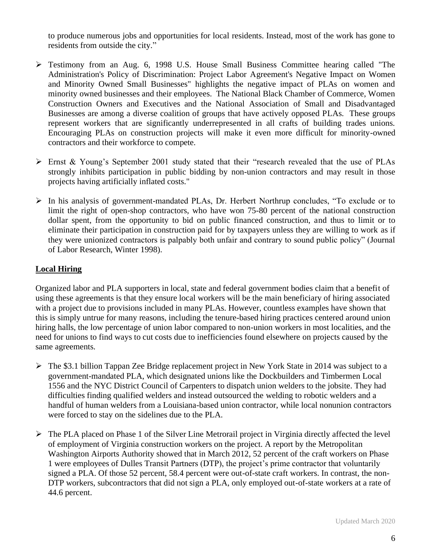to produce numerous jobs and opportunities for local residents. Instead, most of the work has gone to residents from outside the city."

- ➢ Testimony from an Aug. 6, 1998 U.S. House Small Business Committee hearing called "The Administration's Policy of Discrimination: Project Labor Agreement's Negative Impact on Women and Minority Owned Small Businesses" highlights the negative impact of PLAs on women and minority owned businesses and their employees. The National Black Chamber of Commerce, Women Construction Owners and Executives and the National Association of Small and Disadvantaged Businesses are among a diverse coalition of groups that have actively opposed PLAs. These groups represent workers that are significantly underrepresented in all crafts of building trades unions. Encouraging PLAs on construction projects will make it even more difficult for minority-owned contractors and their workforce to compete.
- $\triangleright$  Ernst & Young's September 2001 study stated that their "research revealed that the use of PLAs strongly inhibits participation in public bidding by non-union contractors and may result in those projects having artificially inflated costs."
- ➢ In his analysis of government-mandated PLAs, Dr. Herbert Northrup concludes, "To exclude or to limit the right of open-shop contractors, who have won 75-80 percent of the national construction dollar spent, from the opportunity to bid on public financed construction, and thus to limit or to eliminate their participation in construction paid for by taxpayers unless they are willing to work as if they were unionized contractors is palpably both unfair and contrary to sound public policy" (Journal of Labor Research, Winter 1998).

# **Local Hiring**

Organized labor and PLA supporters in local, state and federal government bodies claim that a benefit of using these agreements is that they ensure local workers will be the main beneficiary of hiring associated with a project due to provisions included in many PLAs. However, countless examples have shown that this is simply untrue for many reasons, including the tenure-based hiring practices centered around union hiring halls, the low percentage of union labor compared to non-union workers in most localities, and the need for unions to find ways to cut costs due to inefficiencies found elsewhere on projects caused by the same agreements.

- ➢ The \$3.1 billion Tappan Zee Bridge replacement project in New York State in 2014 was subject to a government-mandated PLA, which designated unions like the Dockbuilders and Timbermen Local 1556 and the NYC District Council of Carpenters to dispatch union welders to the jobsite. They had difficulties finding qualified welders and instead outsourced the welding to robotic welders and a handful of human welders from a Louisiana-based union contractor, while local nonunion contractors were forced to stay on the sidelines due to the PLA.
- $\triangleright$  The PLA placed on Phase 1 of the Silver Line Metrorail project in Virginia directly affected the level of employment of Virginia construction workers on the project. A report by the Metropolitan Washington Airports Authority showed that in March 2012, 52 percent of the craft workers on Phase 1 were employees of Dulles Transit Partners (DTP), the project's prime contractor that voluntarily signed a PLA. Of those 52 percent, 58.4 percent were out-of-state craft workers. In contrast, the non-DTP workers, subcontractors that did not sign a PLA, only employed out-of-state workers at a rate of 44.6 percent.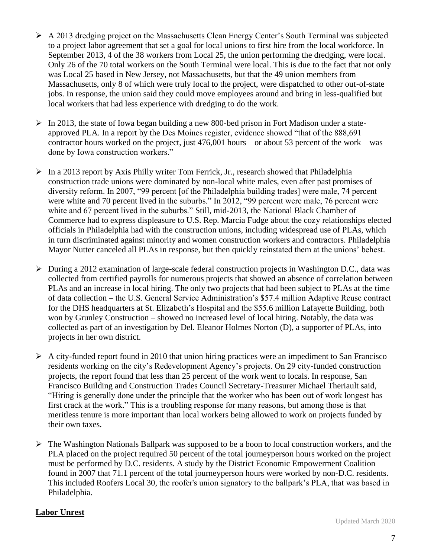- ➢ A 2013 dredging project on the Massachusetts Clean Energy Center's South Terminal was subjected to a project labor agreement that set a goal for local unions to first hire from the local workforce. In September 2013, 4 of the 38 workers from Local 25, the union performing the dredging, were local. Only 26 of the 70 total workers on the South Terminal were local. This is due to the fact that not only was Local 25 based in New Jersey, not Massachusetts, but that the 49 union members from Massachusetts, only 8 of which were truly local to the project, were dispatched to other out-of-state jobs. In response, the union said they could move employees around and bring in less-qualified but local workers that had less experience with dredging to do the work.
- $\triangleright$  In 2013, the state of Iowa began building a new 800-bed prison in Fort Madison under a stateapproved PLA. In a report by the Des Moines register, evidence showed "that of the 888,691 contractor hours worked on the project, just 476,001 hours – or about 53 percent of the work – was done by Iowa construction workers."
- ➢ In a 2013 report by Axis Philly writer Tom Ferrick, Jr., research showed that Philadelphia construction trade unions were dominated by non-local white males, even after past promises of diversity reform. In 2007, "99 percent [of the Philadelphia building trades] were male, 74 percent were white and 70 percent lived in the suburbs." In 2012, "99 percent were male, 76 percent were white and 67 percent lived in the suburbs." Still, mid-2013, the National Black Chamber of Commerce had to express displeasure to U.S. Rep. Marcia Fudge about the cozy relationships elected officials in Philadelphia had with the construction unions, including widespread use of PLAs, which in turn discriminated against minority and women construction workers and contractors. Philadelphia Mayor Nutter canceled all PLAs in response, but then quickly reinstated them at the unions' behest.
- ➢ During a 2012 examination of large-scale federal construction projects in Washington D.C., data was collected from certified payrolls for numerous projects that showed an absence of correlation between PLAs and an increase in local hiring. The only two projects that had been subject to PLAs at the time of data collection – the U.S. General Service Administration's \$57.4 million Adaptive Reuse contract for the DHS headquarters at St. Elizabeth's Hospital and the \$55.6 million Lafayette Building, both won by Grunley Construction – showed no increased level of local hiring. Notably, the data was collected as part of an investigation by Del. Eleanor Holmes Norton (D), a supporter of PLAs, into projects in her own district.
- ➢ A city-funded report found in 2010 that union hiring practices were an impediment to San Francisco residents working on the city's Redevelopment Agency's projects. On 29 city-funded construction projects, the report found that less than 25 percent of the work went to locals. In response, San Francisco Building and Construction Trades Council Secretary-Treasurer Michael Theriault said, "Hiring is generally done under the principle that the worker who has been out of work longest has first crack at the work." This is a troubling response for many reasons, but among those is that meritless tenure is more important than local workers being allowed to work on projects funded by their own taxes.
- ➢ The Washington Nationals Ballpark was supposed to be a boon to local construction workers, and the PLA placed on the project required 50 percent of the total journeyperson hours worked on the project must be performed by D.C. residents. A study by the District Economic Empowerment Coalition found in 2007 that 71.1 percent of the total journeyperson hours were worked by non-D.C. residents. This included Roofers Local 30, the roofer's union signatory to the ballpark's PLA, that was based in Philadelphia.

#### **Labor Unrest**

Updated March 2020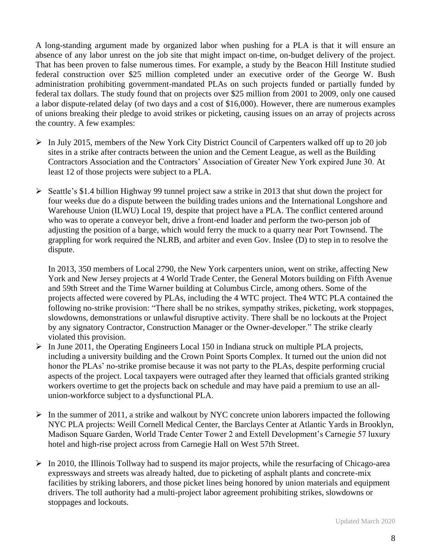A long-standing argument made by organized labor when pushing for a PLA is that it will ensure an absence of any labor unrest on the job site that might impact on-time, on-budget delivery of the project. That has been proven to false numerous times. For example, a study by the Beacon Hill Institute studied federal construction over \$25 million completed under an executive order of the George W. Bush administration prohibiting government-mandated PLAs on such projects funded or partially funded by federal tax dollars. The study found that on projects over \$25 million from 2001 to 2009, only one caused a labor dispute-related delay (of two days and a cost of \$16,000). However, there are numerous examples of unions breaking their pledge to avoid strikes or picketing, causing issues on an array of projects across the country. A few examples:

- $\triangleright$  In July 2015, members of the New York City District Council of Carpenters walked off up to 20 job sites in a strike after contracts between the union and the Cement League, as well as the Building Contractors Association and the Contractors' Association of Greater New York expired June 30. At least 12 of those projects were subject to a PLA.
- ➢ Seattle's \$1.4 billion Highway 99 tunnel project saw a strike in 2013 that shut down the project for four weeks due do a dispute between the building trades unions and the International Longshore and Warehouse Union (ILWU) Local 19, despite that project have a PLA. The conflict centered around who was to operate a conveyor belt, drive a front-end loader and perform the two-person job of adjusting the position of a barge, which would ferry the muck to a quarry near Port Townsend. The grappling for work required the NLRB, and arbiter and even Gov. Inslee (D) to step in to resolve the dispute.

In 2013, 350 members of Local 2790, the New York carpenters union, went on strike, affecting New York and New Jersey projects at 4 World Trade Center, the General Motors building on Fifth Avenue and 59th Street and the Time Warner building at Columbus Circle, among others. Some of the projects affected were covered by PLAs, including the 4 WTC project. The4 WTC PLA contained the following no-strike provision: "There shall be no strikes, sympathy strikes, picketing, work stoppages, slowdowns, demonstrations or unlawful disruptive activity. There shall be no lockouts at the Project by any signatory Contractor, Construction Manager or the Owner-developer." The strike clearly violated this provision.

- ➢ In June 2011, the Operating Engineers Local 150 in Indiana struck on multiple PLA projects, including a university building and the Crown Point Sports Complex. It turned out the union did not honor the PLAs' no-strike promise because it was not party to the PLAs, despite performing crucial aspects of the project. Local taxpayers were outraged after they learned that officials granted striking workers overtime to get the projects back on schedule and may have paid a premium to use an allunion-workforce subject to a dysfunctional PLA.
- $\triangleright$  In the summer of 2011, a strike and walkout by NYC concrete union laborers impacted the following NYC PLA projects: Weill Cornell Medical Center, the Barclays Center at Atlantic Yards in Brooklyn, Madison Square Garden, World Trade Center Tower 2 and Extell Development's Carnegie 57 luxury hotel and high-rise project across from Carnegie Hall on West 57th Street.
- $\triangleright$  In 2010, the Illinois Tollway had to suspend its major projects, while the resurfacing of Chicago-area expressways and streets was already halted, due to picketing of asphalt plants and concrete-mix facilities by striking laborers, and those picket lines being honored by union materials and equipment drivers. The toll authority had a multi-project labor agreement prohibiting strikes, slowdowns or stoppages and lockouts.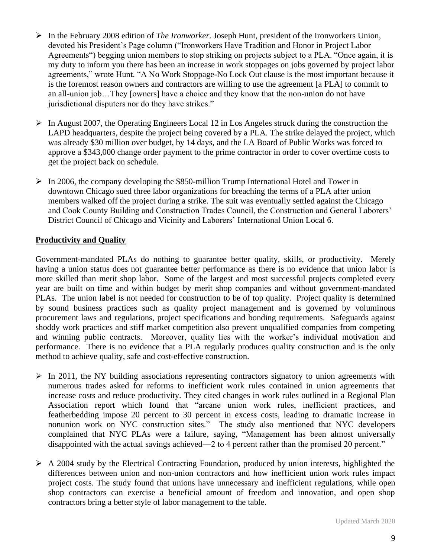- ➢ In the February 2008 edition of *The Ironworker*. Joseph Hunt, president of the Ironworkers Union, devoted his President's Page column ("Ironworkers Have Tradition and Honor in Project Labor Agreements") begging union members to stop striking on projects subject to a PLA. "Once again, it is my duty to inform you there has been an increase in work stoppages on jobs governed by project labor agreements," wrote Hunt. "A No Work Stoppage-No Lock Out clause is the most important because it is the foremost reason owners and contractors are willing to use the agreement [a PLA] to commit to an all-union job…They [owners] have a choice and they know that the non-union do not have jurisdictional disputers nor do they have strikes."
- $\triangleright$  In August 2007, the Operating Engineers Local 12 in Los Angeles struck during the construction the LAPD headquarters, despite the project being covered by a PLA. The strike delayed the project, which was already \$30 million over budget, by 14 days, and the LA Board of Public Works was forced to approve a \$343,000 change order payment to the prime contractor in order to cover overtime costs to get the project back on schedule.
- $\triangleright$  In 2006, the company developing the \$850-million Trump International Hotel and Tower in downtown Chicago sued three labor organizations for breaching the terms of a PLA after union members walked off the project during a strike. The suit was eventually settled against the Chicago and Cook County Building and Construction Trades Council, the Construction and General Laborers' District Council of Chicago and Vicinity and Laborers' International Union Local 6.

## **Productivity and Quality**

Government-mandated PLAs do nothing to guarantee better quality, skills, or productivity. Merely having a union status does not guarantee better performance as there is no evidence that union labor is more skilled than merit shop labor. Some of the largest and most successful projects completed every year are built on time and within budget by merit shop companies and without government-mandated PLAs. The union label is not needed for construction to be of top quality. Project quality is determined by sound business practices such as quality project management and is governed by voluminous procurement laws and regulations, project specifications and bonding requirements. Safeguards against shoddy work practices and stiff market competition also prevent unqualified companies from competing and winning public contracts. Moreover, quality lies with the worker's individual motivation and performance. There is no evidence that a PLA regularly produces quality construction and is the only method to achieve quality, safe and cost-effective construction.

- $\triangleright$  In 2011, the NY building associations representing contractors signatory to union agreements with numerous trades asked for reforms to inefficient work rules contained in union agreements that increase costs and reduce productivity. They cited changes in work rules outlined in a Regional Plan Association report which found that "arcane union work rules, inefficient practices, and featherbedding impose 20 percent to 30 percent in excess costs, leading to dramatic increase in nonunion work on NYC construction sites." The study also mentioned that NYC developers complained that NYC PLAs were a failure, saying, "Management has been almost universally disappointed with the actual savings achieved—2 to 4 percent rather than the promised 20 percent."
- ➢ A 2004 study by the Electrical Contracting Foundation, produced by union interests, highlighted the differences between union and non-union contractors and how inefficient union work rules impact project costs. The study found that unions have unnecessary and inefficient regulations, while open shop contractors can exercise a beneficial amount of freedom and innovation, and open shop contractors bring a better style of labor management to the table.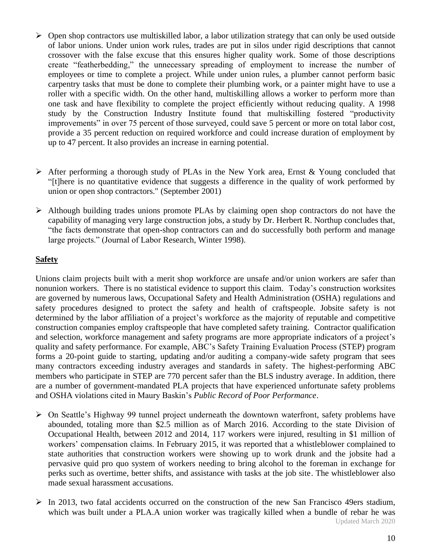- ➢ Open shop contractors use multiskilled labor, a labor utilization strategy that can only be used outside of labor unions. Under union work rules, trades are put in silos under rigid descriptions that cannot crossover with the false excuse that this ensures higher quality work. Some of those descriptions create "featherbedding," the unnecessary spreading of employment to increase the number of employees or time to complete a project. While under union rules, a plumber cannot perform basic carpentry tasks that must be done to complete their plumbing work, or a painter might have to use a roller with a specific width. On the other hand, multiskilling allows a worker to perform more than one task and have flexibility to complete the project efficiently without reducing quality. A 1998 study by the Construction Industry Institute found that multiskilling fostered "productivity improvements" in over 75 percent of those surveyed, could save 5 percent or more on total labor cost, provide a 35 percent reduction on required workforce and could increase duration of employment by up to 47 percent. It also provides an increase in earning potential.
- ➢ After performing a thorough study of PLAs in the New York area, Ernst & Young concluded that "[t]here is no quantitative evidence that suggests a difference in the quality of work performed by union or open shop contractors." (September 2001)
- $\triangleright$  Although building trades unions promote PLAs by claiming open shop contractors do not have the capability of managing very large construction jobs, a study by Dr. Herbert R. Northup concludes that, "the facts demonstrate that open-shop contractors can and do successfully both perform and manage large projects." (Journal of Labor Research, Winter 1998).

## **Safety**

Unions claim projects built with a merit shop workforce are unsafe and/or union workers are safer than nonunion workers. There is no statistical evidence to support this claim. Today's construction worksites are governed by numerous laws, Occupational Safety and Health Administration (OSHA) regulations and safety procedures designed to protect the safety and health of craftspeople. Jobsite safety is not determined by the labor affiliation of a project's workforce as the majority of reputable and competitive construction companies employ craftspeople that have completed safety training. Contractor qualification and selection, workforce management and safety programs are more appropriate indicators of a project's quality and safety performance. For example, ABC's Safety Training Evaluation Process (STEP) program forms a 20-point guide to starting, updating and/or auditing a company-wide safety program that sees many contractors exceeding industry averages and standards in safety. The highest-performing ABC members who participate in STEP are 770 percent safer than the BLS industry average. In addition, there are a number of government-mandated PLA projects that have experienced unfortunate safety problems and OSHA violations cited in Maury Baskin's *Public Record of Poor Performance*.

- ➢ On Seattle's Highway 99 tunnel project underneath the downtown waterfront, safety problems have abounded, totaling more than \$2.5 million as of March 2016. According to the state Division of Occupational Health, between 2012 and 2014, 117 workers were injured, resulting in \$1 million of workers' compensation claims. In February 2015, it was reported that a whistleblower complained to state authorities that construction workers were showing up to work drunk and the jobsite had a pervasive quid pro quo system of workers needing to bring alcohol to the foreman in exchange for perks such as overtime, better shifts, and assistance with tasks at the job site. The whistleblower also made sexual harassment accusations.
- Updated March 2020  $\triangleright$  In 2013, two fatal accidents occurred on the construction of the new San Francisco 49ers stadium, which was built under a PLA.A union worker was tragically killed when a bundle of rebar he was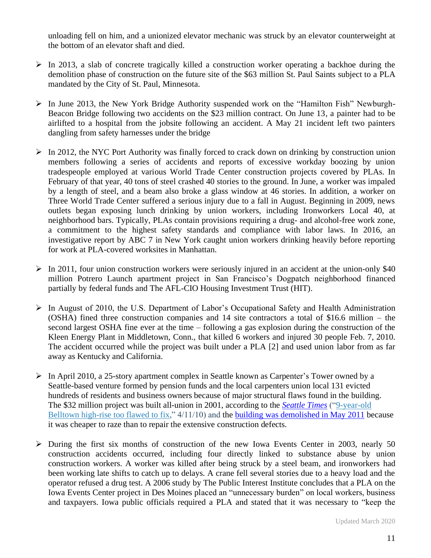unloading fell on him, and a unionized elevator mechanic was struck by an elevator counterweight at the bottom of an elevator shaft and died.

- $\triangleright$  In 2013, a slab of concrete tragically killed a construction worker operating a backhoe during the demolition phase of construction on the future site of the \$63 million St. Paul Saints subject to a PLA mandated by the City of St. Paul, Minnesota.
- ➢ In June 2013, the New York Bridge Authority suspended work on the "Hamilton Fish" Newburgh-Beacon Bridge following two accidents on the \$23 million contract. On June 13, a painter had to be airlifted to a hospital from the jobsite following an accident. A May 21 incident left two painters dangling from safety harnesses under the bridge
- $\triangleright$  In 2012, the NYC Port Authority was finally forced to crack down on drinking by construction union members following a series of accidents and reports of excessive workday boozing by union tradespeople employed at various World Trade Center construction projects covered by PLAs. In February of that year, 40 tons of steel crashed 40 stories to the ground. In June, a worker was impaled by a length of steel, and a beam also broke a glass window at 46 stories. In addition, a worker on Three World Trade Center suffered a serious injury due to a fall in August. Beginning in 2009, news outlets began exposing lunch drinking by union workers, including Ironworkers Local 40, at neighborhood bars. Typically, PLAs contain provisions requiring a drug- and alcohol-free work zone, a commitment to the highest safety standards and compliance with labor laws. In 2016, an investigative report by ABC 7 in New York caught union workers drinking heavily before reporting for work at PLA-covered worksites in Manhattan.
- $\triangleright$  In 2011, four union construction workers were seriously injured in an accident at the union-only \$40 million Potrero Launch apartment project in San Francisco's Dogpatch neighborhood financed partially by federal funds and The AFL-CIO Housing Investment Trust (HIT).
- ➢ In August of 2010, the U.S. Department of Labor's Occupational Safety and Health Administration (OSHA) fined three construction companies and 14 site contractors a total of \$16.6 million – the second largest OSHA fine ever at the time – following a gas explosion during the construction of the Kleen Energy Plant in Middletown, Conn., that killed 6 workers and injured 30 people Feb. 7, 2010. The accident occurred while the project was built under a PLA [2] and used union labor from as far away as Kentucky and California.
- ➢ In April 2010, a 25-story apartment complex in Seattle known as Carpenter's Tower owned by a Seattle-based venture formed by pension funds and the local carpenters union local 131 evicted hundreds of residents and business owners because of major structural flaws found in the building. The \$32 million project was built all-union in 2001, according to the *[Seattle](http://seattletimes.com/html/localnews/2011585964_apartments12m.html) Times* (["9-year-old](http://seattletimes.com/html/localnews/2011585964_apartments12m.html)  [Belltown high-rise too flawed to fix,](http://seattletimes.com/html/localnews/2011585964_apartments12m.html)"  $4/11/10$ ) and the building was [demolished](http://goodbyemcguire.tumblr.com/) in May 2011 because it was cheaper to raze than to repair the extensive construction defects.
- ➢ During the first six months of construction of the new Iowa Events Center in 2003, nearly 50 construction accidents occurred, including four directly linked to substance abuse by union construction workers. A worker was killed after being struck by a steel beam, and ironworkers had been working late shifts to catch up to delays. A crane fell several stories due to a heavy load and the operator refused a drug test. A 2006 study by The Public Interest Institute concludes that a PLA on the Iowa Events Center project in Des Moines placed an "unnecessary burden" on local workers, business and taxpayers. Iowa public officials required a PLA and stated that it was necessary to "keep the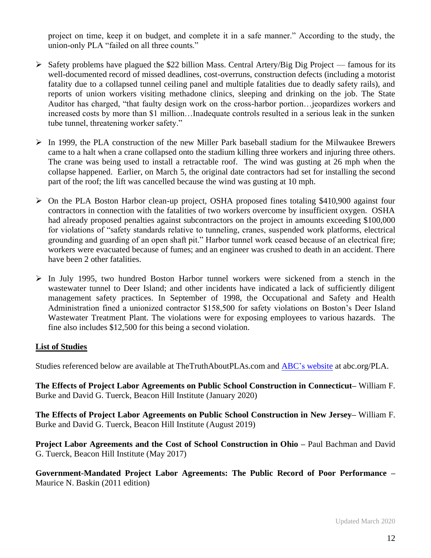project on time, keep it on budget, and complete it in a safe manner." According to the study, the union-only PLA "failed on all three counts."

- $\triangleright$  Safety problems have plagued the \$22 billion Mass. Central Artery/Big Dig Project famous for its well-documented record of missed deadlines, cost-overruns, construction defects (including a motorist fatality due to a collapsed tunnel ceiling panel and multiple fatalities due to deadly safety rails), and reports of union workers visiting methadone clinics, sleeping and drinking on the job. The State Auditor has charged, "that faulty design work on the cross-harbor portion…jeopardizes workers and increased costs by more than \$1 million…Inadequate controls resulted in a serious leak in the sunken tube tunnel, threatening worker safety."
- $\triangleright$  In 1999, the PLA construction of the new Miller Park baseball stadium for the Milwaukee Brewers came to a halt when a crane collapsed onto the stadium killing three workers and injuring three others. The crane was being used to install a retractable roof. The wind was gusting at 26 mph when the collapse happened. Earlier, on March 5, the original date contractors had set for installing the second part of the roof; the lift was cancelled because the wind was gusting at 10 mph.
- ➢ On the PLA Boston Harbor clean-up project, OSHA proposed fines totaling \$410,900 against four contractors in connection with the fatalities of two workers overcome by insufficient oxygen. OSHA had already proposed penalties against subcontractors on the project in amounts exceeding \$100,000 for violations of "safety standards relative to tunneling, cranes, suspended work platforms, electrical grounding and guarding of an open shaft pit." Harbor tunnel work ceased because of an electrical fire; workers were evacuated because of fumes; and an engineer was crushed to death in an accident. There have been 2 other fatalities.
- ➢ In July 1995, two hundred Boston Harbor tunnel workers were sickened from a stench in the wastewater tunnel to Deer Island; and other incidents have indicated a lack of sufficiently diligent management safety practices. In September of 1998, the Occupational and Safety and Health Administration fined a unionized contractor \$158,500 for safety violations on Boston's Deer Island Wastewater Treatment Plant. The violations were for exposing employees to various hazards. The fine also includes \$12,500 for this being a second violation.

#### **List of Studies**

Studies referenced below are available at TheTruthAboutPLAs.com and ABC's website at abc.org/PLA.

**The Effects of Project Labor Agreements on Public School Construction in Connecticut–** William F. Burke and David G. Tuerck, Beacon Hill Institute (January 2020)

**The Effects of Project Labor Agreements on Public School Construction in New Jersey–** William F. Burke and David G. Tuerck, Beacon Hill Institute (August 2019)

**Project Labor Agreements and the Cost of School Construction in Ohio –** Paul Bachman and David G. Tuerck, Beacon Hill Institute (May 2017)

**Government-Mandated Project Labor Agreements: The Public Record of Poor Performance –** Maurice N. Baskin (2011 edition)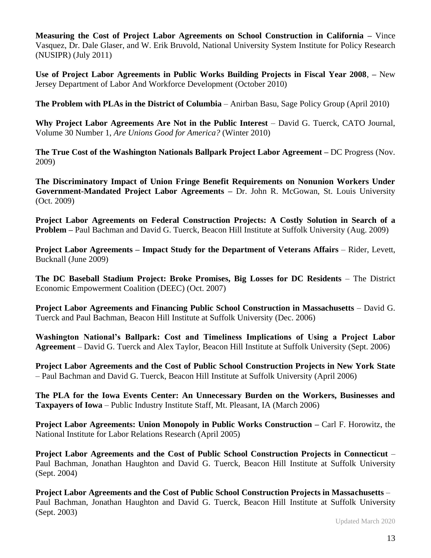**Measuring the Cost of Project Labor Agreements on School Construction in California –** Vince Vasquez, Dr. Dale Glaser, and W. Erik Bruvold, National University System Institute for Policy Research (NUSIPR) (July 2011)

**Use of Project Labor Agreements in Public Works Building Projects in Fiscal Year 2008**, **–** New Jersey Department of Labor And Workforce Development (October 2010)

**The Problem with PLAs in the District of Columbia** – Anirban Basu, Sage Policy Group (April 2010)

**Why Project Labor Agreements Are Not in the Public Interest** – David G. Tuerck, CATO Journal, Volume 30 Number 1, *Are Unions Good for America?* (Winter 2010)

**The True Cost of the Washington Nationals Ballpark Project Labor Agreement –** DC Progress (Nov. 2009)

**The Discriminatory Impact of Union Fringe Benefit Requirements on Nonunion Workers Under Government-Mandated Project Labor Agreements –** Dr. John R. McGowan, St. Louis University (Oct. 2009)

**Project Labor Agreements on Federal Construction Projects: A Costly Solution in Search of a Problem –** Paul Bachman and David G. Tuerck, Beacon Hill Institute at Suffolk University (Aug. 2009)

**Project Labor Agreements – Impact Study for the Department of Veterans Affairs** – Rider, Levett, Bucknall (June 2009)

**The DC Baseball Stadium Project: Broke Promises, Big Losses for DC Residents** – The District Economic Empowerment Coalition (DEEC) (Oct. 2007)

**Project Labor Agreements and Financing Public School Construction in Massachusetts** – David G. Tuerck and Paul Bachman, Beacon Hill Institute at Suffolk University (Dec. 2006)

**Washington National's Ballpark: Cost and Timeliness Implications of Using a Project Labor Agreement** – David G. Tuerck and Alex Taylor, Beacon Hill Institute at Suffolk University (Sept. 2006)

**Project Labor Agreements and the Cost of Public School Construction Projects in New York State** – Paul Bachman and David G. Tuerck, Beacon Hill Institute at Suffolk University (April 2006)

**The PLA for the Iowa Events Center: An Unnecessary Burden on the Workers, Businesses and Taxpayers of Iowa** – Public Industry Institute Staff, Mt. Pleasant, IA (March 2006)

**Project Labor Agreements: Union Monopoly in Public Works Construction –** Carl F. Horowitz, the National Institute for Labor Relations Research (April 2005)

**Project Labor Agreements and the Cost of Public School Construction Projects in Connecticut** – Paul Bachman, Jonathan Haughton and David G. Tuerck, Beacon Hill Institute at Suffolk University (Sept. 2004)

**Project Labor Agreements and the Cost of Public School Construction Projects in Massachusetts** – Paul Bachman, Jonathan Haughton and David G. Tuerck, Beacon Hill Institute at Suffolk University (Sept. 2003)